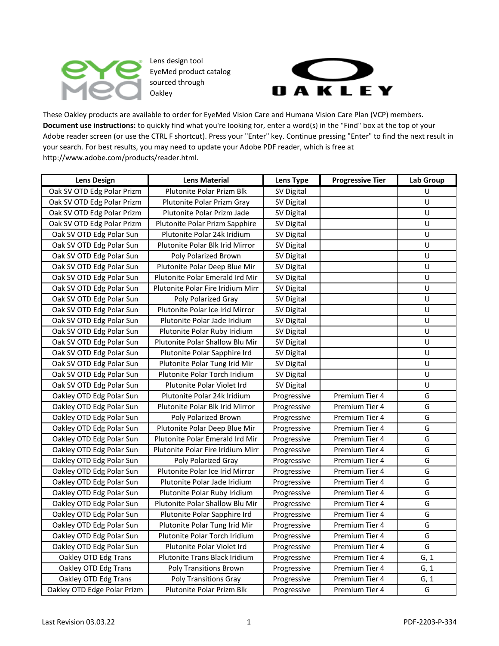

Lens design tool EyeMed product catalog sourced through Oakley



These Oakley products are available to order for EyeMed Vision Care and Humana Vision Care Plan (VCP) members. **Document use instructions:** to quickly find what you're looking for, enter a word(s) in the "Find" box at the top of your Adobe reader screen (or use the CTRL F shortcut). Press your "Enter" key. Continue pressing "Enter" to find the next result in your search. For best results, you may need to update your Adobe PDF reader, which is free at http://www.adobe.com/products/reader.html.

| <b>Lens Design</b>          | <b>Lens Material</b>              | <b>Lens Type</b> | <b>Progressive Tier</b> | Lab Group |
|-----------------------------|-----------------------------------|------------------|-------------------------|-----------|
| Oak SV OTD Edg Polar Prizm  | Plutonite Polar Prizm Blk         | SV Digital       |                         | U         |
| Oak SV OTD Edg Polar Prizm  | Plutonite Polar Prizm Gray        | SV Digital       |                         | U         |
| Oak SV OTD Edg Polar Prizm  | Plutonite Polar Prizm Jade        | SV Digital       |                         | U         |
| Oak SV OTD Edg Polar Prizm  | Plutonite Polar Prizm Sapphire    | SV Digital       |                         | U         |
| Oak SV OTD Edg Polar Sun    | Plutonite Polar 24k Iridium       | SV Digital       |                         | U         |
| Oak SV OTD Edg Polar Sun    | Plutonite Polar Blk Irid Mirror   | SV Digital       |                         | U         |
| Oak SV OTD Edg Polar Sun    | Poly Polarized Brown              | SV Digital       |                         | U         |
| Oak SV OTD Edg Polar Sun    | Plutonite Polar Deep Blue Mir     | SV Digital       |                         | U         |
| Oak SV OTD Edg Polar Sun    | Plutonite Polar Emerald Ird Mir   | SV Digital       |                         | U         |
| Oak SV OTD Edg Polar Sun    | Plutonite Polar Fire Iridium Mirr | SV Digital       |                         | U         |
| Oak SV OTD Edg Polar Sun    | Poly Polarized Gray               | SV Digital       |                         | U         |
| Oak SV OTD Edg Polar Sun    | Plutonite Polar Ice Irid Mirror   | SV Digital       |                         | U         |
| Oak SV OTD Edg Polar Sun    | Plutonite Polar Jade Iridium      | SV Digital       |                         | U         |
| Oak SV OTD Edg Polar Sun    | Plutonite Polar Ruby Iridium      | SV Digital       |                         | U         |
| Oak SV OTD Edg Polar Sun    | Plutonite Polar Shallow Blu Mir   | SV Digital       |                         | U         |
| Oak SV OTD Edg Polar Sun    | Plutonite Polar Sapphire Ird      | SV Digital       |                         | U         |
| Oak SV OTD Edg Polar Sun    | Plutonite Polar Tung Irid Mir     | SV Digital       |                         | U         |
| Oak SV OTD Edg Polar Sun    | Plutonite Polar Torch Iridium     | SV Digital       |                         | U         |
| Oak SV OTD Edg Polar Sun    | Plutonite Polar Violet Ird        | SV Digital       |                         | U         |
| Oakley OTD Edg Polar Sun    | Plutonite Polar 24k Iridium       | Progressive      | Premium Tier 4          | G         |
| Oakley OTD Edg Polar Sun    | Plutonite Polar Blk Irid Mirror   | Progressive      | Premium Tier 4          | G         |
| Oakley OTD Edg Polar Sun    | Poly Polarized Brown              | Progressive      | Premium Tier 4          | G         |
| Oakley OTD Edg Polar Sun    | Plutonite Polar Deep Blue Mir     | Progressive      | Premium Tier 4          | G         |
| Oakley OTD Edg Polar Sun    | Plutonite Polar Emerald Ird Mir   | Progressive      | Premium Tier 4          | G         |
| Oakley OTD Edg Polar Sun    | Plutonite Polar Fire Iridium Mirr | Progressive      | Premium Tier 4          | G         |
| Oakley OTD Edg Polar Sun    | Poly Polarized Gray               | Progressive      | Premium Tier 4          | G         |
| Oakley OTD Edg Polar Sun    | Plutonite Polar Ice Irid Mirror   | Progressive      | Premium Tier 4          | G         |
| Oakley OTD Edg Polar Sun    | Plutonite Polar Jade Iridium      | Progressive      | Premium Tier 4          | G         |
| Oakley OTD Edg Polar Sun    | Plutonite Polar Ruby Iridium      | Progressive      | Premium Tier 4          | G         |
| Oakley OTD Edg Polar Sun    | Plutonite Polar Shallow Blu Mir   | Progressive      | Premium Tier 4          | G         |
| Oakley OTD Edg Polar Sun    | Plutonite Polar Sapphire Ird      | Progressive      | Premium Tier 4          | G         |
| Oakley OTD Edg Polar Sun    | Plutonite Polar Tung Irid Mir     | Progressive      | Premium Tier 4          | G         |
| Oakley OTD Edg Polar Sun    | Plutonite Polar Torch Iridium     | Progressive      | Premium Tier 4          | G         |
| Oakley OTD Edg Polar Sun    | Plutonite Polar Violet Ird        | Progressive      | Premium Tier 4          | G         |
| Oakley OTD Edg Trans        | Plutonite Trans Black Iridium     | Progressive      | Premium Tier 4          | G, 1      |
| Oakley OTD Edg Trans        | <b>Poly Transitions Brown</b>     | Progressive      | Premium Tier 4          | G, 1      |
| Oakley OTD Edg Trans        | <b>Poly Transitions Gray</b>      | Progressive      | Premium Tier 4          | G, 1      |
| Oakley OTD Edge Polar Prizm | Plutonite Polar Prizm Blk         | Progressive      | Premium Tier 4          | G         |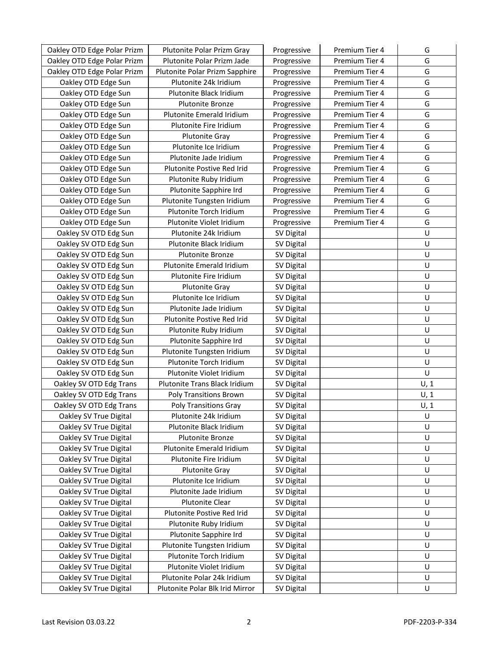| Oakley OTD Edge Polar Prizm | Plutonite Polar Prizm Gray      | Progressive       | Premium Tier 4 | G    |
|-----------------------------|---------------------------------|-------------------|----------------|------|
| Oakley OTD Edge Polar Prizm | Plutonite Polar Prizm Jade      | Progressive       | Premium Tier 4 | G    |
| Oakley OTD Edge Polar Prizm | Plutonite Polar Prizm Sapphire  | Progressive       | Premium Tier 4 | G    |
| Oakley OTD Edge Sun         | Plutonite 24k Iridium           | Progressive       | Premium Tier 4 | G    |
| Oakley OTD Edge Sun         | Plutonite Black Iridium         | Progressive       | Premium Tier 4 | G    |
| Oakley OTD Edge Sun         | Plutonite Bronze                | Progressive       | Premium Tier 4 | G    |
| Oakley OTD Edge Sun         | Plutonite Emerald Iridium       | Progressive       | Premium Tier 4 | G    |
| Oakley OTD Edge Sun         | Plutonite Fire Iridium          | Progressive       | Premium Tier 4 | G    |
| Oakley OTD Edge Sun         | <b>Plutonite Gray</b>           | Progressive       | Premium Tier 4 | G    |
| Oakley OTD Edge Sun         | Plutonite Ice Iridium           | Progressive       | Premium Tier 4 | G    |
| Oakley OTD Edge Sun         | Plutonite Jade Iridium          | Progressive       | Premium Tier 4 | G    |
| Oakley OTD Edge Sun         | Plutonite Postive Red Irid      | Progressive       | Premium Tier 4 | G    |
| Oakley OTD Edge Sun         | Plutonite Ruby Iridium          | Progressive       | Premium Tier 4 | G    |
| Oakley OTD Edge Sun         | Plutonite Sapphire Ird          | Progressive       | Premium Tier 4 | G    |
| Oakley OTD Edge Sun         | Plutonite Tungsten Iridium      | Progressive       | Premium Tier 4 | G    |
| Oakley OTD Edge Sun         | Plutonite Torch Iridium         | Progressive       | Premium Tier 4 | G    |
| Oakley OTD Edge Sun         | Plutonite Violet Iridium        | Progressive       | Premium Tier 4 | G    |
| Oakley SV OTD Edg Sun       | Plutonite 24k Iridium           | SV Digital        |                | U    |
| Oakley SV OTD Edg Sun       | Plutonite Black Iridium         | SV Digital        |                | U    |
| Oakley SV OTD Edg Sun       | Plutonite Bronze                | SV Digital        |                | U    |
| Oakley SV OTD Edg Sun       | Plutonite Emerald Iridium       | SV Digital        |                | U    |
| Oakley SV OTD Edg Sun       | Plutonite Fire Iridium          | SV Digital        |                | U    |
| Oakley SV OTD Edg Sun       | <b>Plutonite Gray</b>           | SV Digital        |                | U    |
| Oakley SV OTD Edg Sun       | Plutonite Ice Iridium           | SV Digital        |                | U    |
| Oakley SV OTD Edg Sun       | Plutonite Jade Iridium          | SV Digital        |                | U    |
| Oakley SV OTD Edg Sun       | Plutonite Postive Red Irid      | SV Digital        |                | U    |
| Oakley SV OTD Edg Sun       | Plutonite Ruby Iridium          | SV Digital        |                | U    |
| Oakley SV OTD Edg Sun       | Plutonite Sapphire Ird          | SV Digital        |                | U    |
| Oakley SV OTD Edg Sun       | Plutonite Tungsten Iridium      | SV Digital        |                | U    |
| Oakley SV OTD Edg Sun       | Plutonite Torch Iridium         | SV Digital        |                | U    |
| Oakley SV OTD Edg Sun       | Plutonite Violet Iridium        | SV Digital        |                | U    |
| Oakley SV OTD Edg Trans     | Plutonite Trans Black Iridium   | SV Digital        |                | U, 1 |
| Oakley SV OTD Edg Trans     | <b>Poly Transitions Brown</b>   | SV Digital        |                | U, 1 |
| Oakley SV OTD Edg Trans     | <b>Poly Transitions Gray</b>    | SV Digital        |                | U, 1 |
| Oakley SV True Digital      | Plutonite 24k Iridium           | SV Digital        |                | U    |
| Oakley SV True Digital      | Plutonite Black Iridium         | SV Digital        |                | U    |
| Oakley SV True Digital      | Plutonite Bronze                | SV Digital        |                | U    |
| Oakley SV True Digital      | Plutonite Emerald Iridium       | SV Digital        |                | U    |
| Oakley SV True Digital      | Plutonite Fire Iridium          | <b>SV Digital</b> |                | U    |
| Oakley SV True Digital      | <b>Plutonite Gray</b>           | SV Digital        |                | U    |
| Oakley SV True Digital      | Plutonite Ice Iridium           | SV Digital        |                | U    |
| Oakley SV True Digital      | Plutonite Jade Iridium          | SV Digital        |                | U    |
| Oakley SV True Digital      | Plutonite Clear                 | SV Digital        |                | U    |
| Oakley SV True Digital      | Plutonite Postive Red Irid      | <b>SV Digital</b> |                | U    |
| Oakley SV True Digital      | Plutonite Ruby Iridium          | SV Digital        |                | U    |
| Oakley SV True Digital      | Plutonite Sapphire Ird          | SV Digital        |                | U    |
| Oakley SV True Digital      | Plutonite Tungsten Iridium      | SV Digital        |                | U    |
| Oakley SV True Digital      | Plutonite Torch Iridium         | SV Digital        |                | U    |
| Oakley SV True Digital      | Plutonite Violet Iridium        | SV Digital        |                | U    |
| Oakley SV True Digital      | Plutonite Polar 24k Iridium     | SV Digital        |                | U    |
| Oakley SV True Digital      | Plutonite Polar Blk Irid Mirror | SV Digital        |                | U    |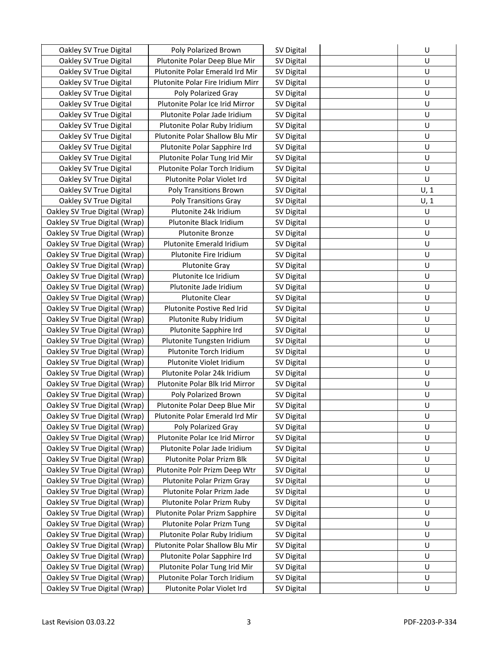| Oakley SV True Digital        | Poly Polarized Brown              | SV Digital | U    |
|-------------------------------|-----------------------------------|------------|------|
| Oakley SV True Digital        | Plutonite Polar Deep Blue Mir     | SV Digital | U    |
| Oakley SV True Digital        | Plutonite Polar Emerald Ird Mir   | SV Digital | U    |
| Oakley SV True Digital        | Plutonite Polar Fire Iridium Mirr | SV Digital | U    |
| Oakley SV True Digital        | Poly Polarized Gray               | SV Digital | U    |
| Oakley SV True Digital        | Plutonite Polar Ice Irid Mirror   | SV Digital | U    |
| Oakley SV True Digital        | Plutonite Polar Jade Iridium      | SV Digital | U    |
| Oakley SV True Digital        | Plutonite Polar Ruby Iridium      | SV Digital | U    |
| Oakley SV True Digital        | Plutonite Polar Shallow Blu Mir   | SV Digital | U    |
| Oakley SV True Digital        | Plutonite Polar Sapphire Ird      | SV Digital | U    |
| Oakley SV True Digital        | Plutonite Polar Tung Irid Mir     | SV Digital | U    |
| Oakley SV True Digital        | Plutonite Polar Torch Iridium     | SV Digital | U    |
| Oakley SV True Digital        | Plutonite Polar Violet Ird        | SV Digital | U    |
| Oakley SV True Digital        | <b>Poly Transitions Brown</b>     | SV Digital | U, 1 |
| Oakley SV True Digital        | <b>Poly Transitions Gray</b>      | SV Digital | U, 1 |
| Oakley SV True Digital (Wrap) | Plutonite 24k Iridium             | SV Digital | U    |
| Oakley SV True Digital (Wrap) | Plutonite Black Iridium           | SV Digital | U    |
| Oakley SV True Digital (Wrap) | Plutonite Bronze                  | SV Digital | U    |
| Oakley SV True Digital (Wrap) | Plutonite Emerald Iridium         | SV Digital | U    |
| Oakley SV True Digital (Wrap) | Plutonite Fire Iridium            | SV Digital | U    |
| Oakley SV True Digital (Wrap) | <b>Plutonite Gray</b>             | SV Digital | U    |
| Oakley SV True Digital (Wrap) | Plutonite Ice Iridium             | SV Digital | U    |
| Oakley SV True Digital (Wrap) | Plutonite Jade Iridium            | SV Digital | U    |
| Oakley SV True Digital (Wrap) | <b>Plutonite Clear</b>            | SV Digital | U    |
| Oakley SV True Digital (Wrap) | Plutonite Postive Red Irid        | SV Digital | U    |
| Oakley SV True Digital (Wrap) | Plutonite Ruby Iridium            | SV Digital | U    |
| Oakley SV True Digital (Wrap) | Plutonite Sapphire Ird            | SV Digital | U    |
| Oakley SV True Digital (Wrap) | Plutonite Tungsten Iridium        | SV Digital | U    |
| Oakley SV True Digital (Wrap) | Plutonite Torch Iridium           | SV Digital | U    |
| Oakley SV True Digital (Wrap) | Plutonite Violet Iridium          | SV Digital | U    |
| Oakley SV True Digital (Wrap) | Plutonite Polar 24k Iridium       | SV Digital | U    |
| Oakley SV True Digital (Wrap) | Plutonite Polar Blk Irid Mirror   | SV Digital | U    |
| Oakley SV True Digital (Wrap) | Poly Polarized Brown              | SV Digital | U    |
| Oakley SV True Digital (Wrap) | Plutonite Polar Deep Blue Mir     | SV Digital | U    |
| Oakley SV True Digital (Wrap) | Plutonite Polar Emerald Ird Mir   | SV Digital | U    |
| Oakley SV True Digital (Wrap) | Poly Polarized Gray               | SV Digital | U    |
| Oakley SV True Digital (Wrap) | Plutonite Polar Ice Irid Mirror   | SV Digital | U    |
| Oakley SV True Digital (Wrap) | Plutonite Polar Jade Iridium      | SV Digital | U    |
| Oakley SV True Digital (Wrap) | Plutonite Polar Prizm Blk         | SV Digital | U    |
| Oakley SV True Digital (Wrap) | Plutonite Polr Prizm Deep Wtr     | SV Digital | U    |
| Oakley SV True Digital (Wrap) | Plutonite Polar Prizm Gray        | SV Digital | U    |
| Oakley SV True Digital (Wrap) | Plutonite Polar Prizm Jade        | SV Digital | U    |
| Oakley SV True Digital (Wrap) | Plutonite Polar Prizm Ruby        | SV Digital | U    |
| Oakley SV True Digital (Wrap) | Plutonite Polar Prizm Sapphire    | SV Digital | U    |
| Oakley SV True Digital (Wrap) | Plutonite Polar Prizm Tung        | SV Digital | U    |
| Oakley SV True Digital (Wrap) | Plutonite Polar Ruby Iridium      | SV Digital | U    |
| Oakley SV True Digital (Wrap) | Plutonite Polar Shallow Blu Mir   | SV Digital | U    |
| Oakley SV True Digital (Wrap) | Plutonite Polar Sapphire Ird      | SV Digital | U    |
| Oakley SV True Digital (Wrap) | Plutonite Polar Tung Irid Mir     | SV Digital | U    |
| Oakley SV True Digital (Wrap) | Plutonite Polar Torch Iridium     | SV Digital | U    |
| Oakley SV True Digital (Wrap) | Plutonite Polar Violet Ird        | SV Digital | U    |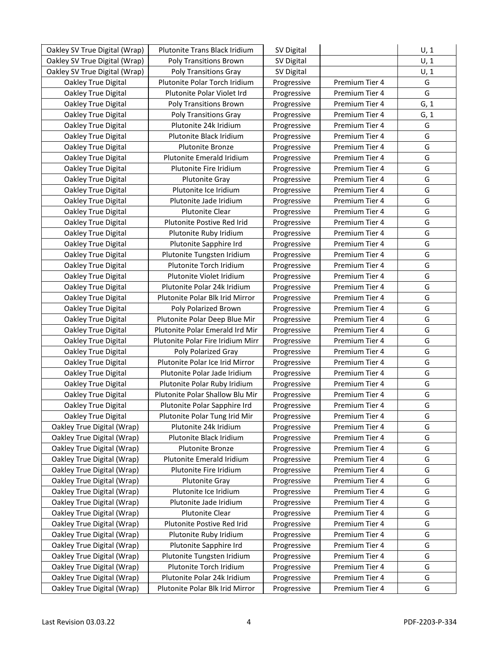| Oakley SV True Digital (Wrap) | <b>Plutonite Trans Black Iridium</b> | SV Digital  |                | U, 1 |
|-------------------------------|--------------------------------------|-------------|----------------|------|
| Oakley SV True Digital (Wrap) | <b>Poly Transitions Brown</b>        | SV Digital  |                | U, 1 |
| Oakley SV True Digital (Wrap) | <b>Poly Transitions Gray</b>         | SV Digital  |                | U, 1 |
| Oakley True Digital           | Plutonite Polar Torch Iridium        | Progressive | Premium Tier 4 | G    |
| Oakley True Digital           | Plutonite Polar Violet Ird           | Progressive | Premium Tier 4 | G    |
| Oakley True Digital           | <b>Poly Transitions Brown</b>        | Progressive | Premium Tier 4 | G, 1 |
| Oakley True Digital           | <b>Poly Transitions Gray</b>         | Progressive | Premium Tier 4 | G, 1 |
| Oakley True Digital           | Plutonite 24k Iridium                | Progressive | Premium Tier 4 | G    |
| Oakley True Digital           | Plutonite Black Iridium              | Progressive | Premium Tier 4 | G    |
| Oakley True Digital           | <b>Plutonite Bronze</b>              | Progressive | Premium Tier 4 | G    |
| Oakley True Digital           | Plutonite Emerald Iridium            | Progressive | Premium Tier 4 | G    |
| Oakley True Digital           | Plutonite Fire Iridium               | Progressive | Premium Tier 4 | G    |
| Oakley True Digital           | <b>Plutonite Gray</b>                | Progressive | Premium Tier 4 | G    |
| Oakley True Digital           | Plutonite Ice Iridium                | Progressive | Premium Tier 4 | G    |
| Oakley True Digital           | Plutonite Jade Iridium               | Progressive | Premium Tier 4 | G    |
| Oakley True Digital           | <b>Plutonite Clear</b>               | Progressive | Premium Tier 4 | G    |
| Oakley True Digital           | Plutonite Postive Red Irid           | Progressive | Premium Tier 4 | G    |
| Oakley True Digital           | Plutonite Ruby Iridium               | Progressive | Premium Tier 4 | G    |
| Oakley True Digital           | Plutonite Sapphire Ird               | Progressive | Premium Tier 4 | G    |
| Oakley True Digital           | Plutonite Tungsten Iridium           | Progressive | Premium Tier 4 | G    |
| Oakley True Digital           | Plutonite Torch Iridium              | Progressive | Premium Tier 4 | G    |
| Oakley True Digital           | Plutonite Violet Iridium             | Progressive | Premium Tier 4 | G    |
| Oakley True Digital           | Plutonite Polar 24k Iridium          | Progressive | Premium Tier 4 | G    |
| Oakley True Digital           | Plutonite Polar Blk Irid Mirror      | Progressive | Premium Tier 4 | G    |
| Oakley True Digital           | Poly Polarized Brown                 | Progressive | Premium Tier 4 | G    |
| Oakley True Digital           | Plutonite Polar Deep Blue Mir        | Progressive | Premium Tier 4 | G    |
| Oakley True Digital           | Plutonite Polar Emerald Ird Mir      | Progressive | Premium Tier 4 | G    |
| Oakley True Digital           | Plutonite Polar Fire Iridium Mirr    | Progressive | Premium Tier 4 | G    |
| Oakley True Digital           | Poly Polarized Gray                  | Progressive | Premium Tier 4 | G    |
| Oakley True Digital           | Plutonite Polar Ice Irid Mirror      | Progressive | Premium Tier 4 | G    |
| Oakley True Digital           | Plutonite Polar Jade Iridium         | Progressive | Premium Tier 4 | G    |
| Oakley True Digital           | Plutonite Polar Ruby Iridium         | Progressive | Premium Tier 4 | G    |
| Oakley True Digital           | Plutonite Polar Shallow Blu Mir      | Progressive | Premium Tier 4 | G    |
| Oakley True Digital           | Plutonite Polar Sapphire Ird         | Progressive | Premium Tier 4 | G    |
| Oakley True Digital           | Plutonite Polar Tung Irid Mir        | Progressive | Premium Tier 4 | G    |
| Oakley True Digital (Wrap)    | Plutonite 24k Iridium                | Progressive | Premium Tier 4 | G    |
| Oakley True Digital (Wrap)    | Plutonite Black Iridium              | Progressive | Premium Tier 4 | G    |
| Oakley True Digital (Wrap)    | <b>Plutonite Bronze</b>              | Progressive | Premium Tier 4 | G    |
| Oakley True Digital (Wrap)    | Plutonite Emerald Iridium            | Progressive | Premium Tier 4 | G    |
| Oakley True Digital (Wrap)    | Plutonite Fire Iridium               | Progressive | Premium Tier 4 | G    |
| Oakley True Digital (Wrap)    | <b>Plutonite Gray</b>                | Progressive | Premium Tier 4 | G    |
| Oakley True Digital (Wrap)    | Plutonite Ice Iridium                | Progressive | Premium Tier 4 | G    |
| Oakley True Digital (Wrap)    | Plutonite Jade Iridium               | Progressive | Premium Tier 4 | G    |
| Oakley True Digital (Wrap)    | Plutonite Clear                      | Progressive | Premium Tier 4 | G    |
| Oakley True Digital (Wrap)    | Plutonite Postive Red Irid           | Progressive | Premium Tier 4 | G    |
| Oakley True Digital (Wrap)    | Plutonite Ruby Iridium               | Progressive | Premium Tier 4 | G    |
| Oakley True Digital (Wrap)    | Plutonite Sapphire Ird               | Progressive | Premium Tier 4 | G    |
| Oakley True Digital (Wrap)    | Plutonite Tungsten Iridium           | Progressive | Premium Tier 4 | G    |
| Oakley True Digital (Wrap)    | Plutonite Torch Iridium              | Progressive | Premium Tier 4 | G    |
| Oakley True Digital (Wrap)    | Plutonite Polar 24k Iridium          | Progressive | Premium Tier 4 | G    |
| Oakley True Digital (Wrap)    | Plutonite Polar Blk Irid Mirror      | Progressive | Premium Tier 4 | G    |